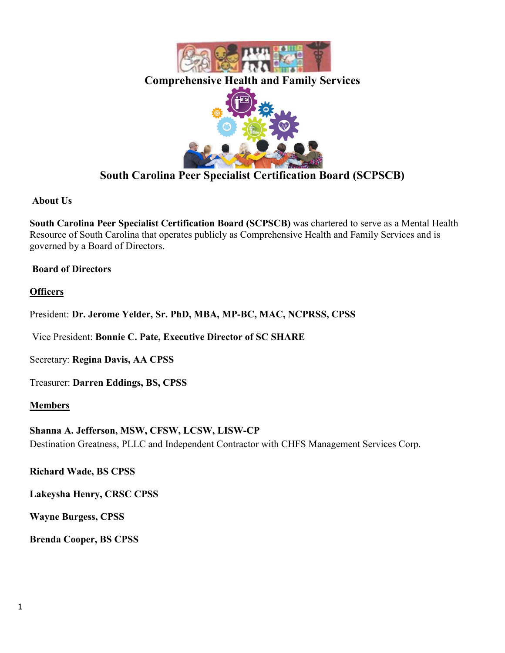

# **South Carolina Peer Specialist Certification Board (SCPSCB)**

### **About Us**

**South Carolina Peer Specialist Certification Board (SCPSCB)** was chartered to serve as a Mental Health Resource of South Carolina that operates publicly as Comprehensive Health and Family Services and is governed by a Board of Directors.

### **Board of Directors**

### **Officers**

President: **Dr. Jerome Yelder, Sr. PhD, MBA, MP-BC, MAC, NCPRSS, CPSS**

Vice President: **Bonnie C. Pate, Executive Director of SC SHARE**

Secretary: **Regina Davis, AA CPSS**

Treasurer: **Darren Eddings, BS, CPSS**

### **Members**

**Shanna A. Jefferson, MSW, CFSW, LCSW, LISW-CP**  Destination Greatness, PLLC and Independent Contractor with CHFS Management Services Corp.

**Richard Wade, BS CPSS**

**Lakeysha Henry, CRSC CPSS**

**Wayne Burgess, CPSS**

**Brenda Cooper, BS CPSS**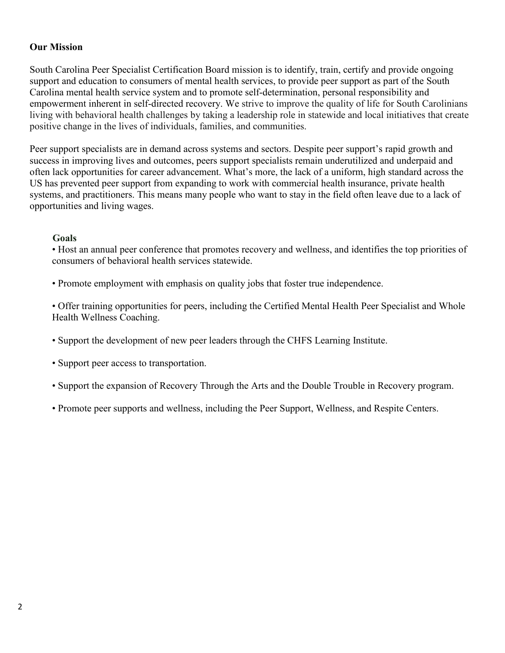#### **Our Mission**

South Carolina Peer Specialist Certification Board mission is to identify, train, certify and provide ongoing support and education to consumers of mental health services, to provide peer support as part of the South Carolina mental health service system and to promote self-determination, personal responsibility and empowerment inherent in self-directed recovery. We strive to improve the quality of life for South Carolinians living with behavioral health challenges by taking a leadership role in statewide and local initiatives that create positive change in the lives of individuals, families, and communities.

Peer support specialists are in demand across systems and sectors. Despite peer support's rapid growth and success in improving lives and outcomes, peers support specialists remain underutilized and underpaid and often lack opportunities for career advancement. What's more, the lack of a uniform, high standard across the US has prevented peer support from expanding to work with commercial health insurance, private health systems, and practitioners. This means many people who want to stay in the field often leave due to a lack of opportunities and living wages.

#### **Goals**

• Host an annual peer conference that promotes recovery and wellness, and identifies the top priorities of consumers of behavioral health services statewide.

• Promote employment with emphasis on quality jobs that foster true independence.

• Offer training opportunities for peers, including the Certified Mental Health Peer Specialist and Whole Health Wellness Coaching.

- Support the development of new peer leaders through the CHFS Learning Institute.
- Support peer access to transportation.
- Support the expansion of Recovery Through the Arts and the Double Trouble in Recovery program.
- Promote peer supports and wellness, including the Peer Support, Wellness, and Respite Centers.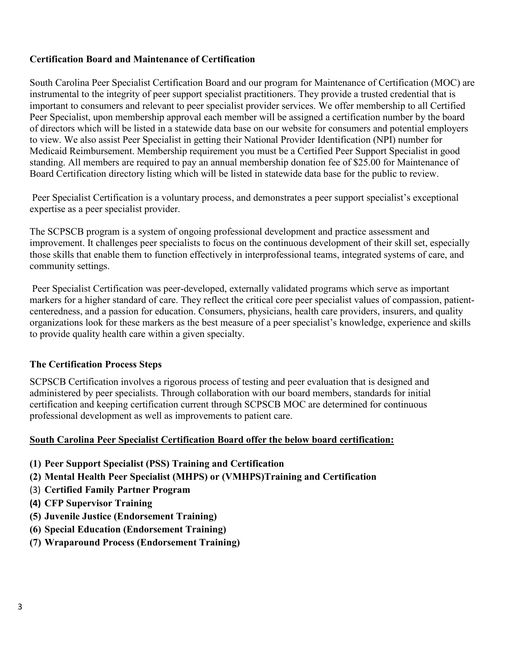### **Certification Board and Maintenance of Certification**

South Carolina Peer Specialist Certification Board and our program for Maintenance of Certification (MOC) are instrumental to the integrity of peer support specialist practitioners. They provide a trusted credential that is important to consumers and relevant to peer specialist provider services. We offer membership to all Certified Peer Specialist, upon membership approval each member will be assigned a certification number by the board of directors which will be listed in a statewide data base on our website for consumers and potential employers to view. We also assist Peer Specialist in getting their National Provider Identification (NPI) number for Medicaid Reimbursement. Membership requirement you must be a Certified Peer Support Specialist in good standing. All members are required to pay an annual membership donation fee of \$25.00 for Maintenance of Board Certification directory listing which will be listed in statewide data base for the public to review.

Peer Specialist Certification is a voluntary process, and demonstrates a peer support specialist's exceptional expertise as a peer specialist provider.

The SCPSCB program is a system of ongoing professional development and practice assessment and improvement. It challenges peer specialists to focus on the continuous development of their skill set, especially those skills that enable them to function effectively in interprofessional teams, integrated systems of care, and community settings.

Peer Specialist Certification was peer-developed, externally validated programs which serve as important markers for a higher standard of care. They reflect the critical core peer specialist values of compassion, patientcenteredness, and a passion for education. Consumers, physicians, health care providers, insurers, and quality organizations look for these markers as the best measure of a peer specialist's knowledge, experience and skills to provide quality health care within a given specialty.

### **The Certification Process Steps**

SCPSCB Certification involves a rigorous process of testing and peer evaluation that is designed and administered by peer specialists. Through collaboration with our board members, standards for initial certification and keeping certification current through SCPSCB MOC are determined for continuous professional development as well as improvements to patient care.

### **South Carolina Peer Specialist Certification Board offer the below board certification:**

- **(1) Peer Support Specialist (PSS) Training and Certification**
- **(2) Mental Health Peer Specialist (MHPS) or (VMHPS)Training and Certification**
- (3) **Certified Family Partner Program**
- **(4) CFP Supervisor Training**
- **(5) Juvenile Justice (Endorsement Training)**
- **(6) Special Education (Endorsement Training)**
- **(7) Wraparound Process (Endorsement Training)**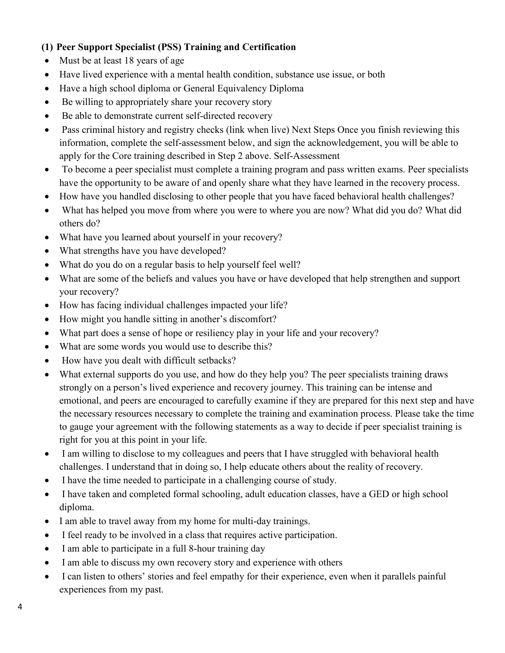# **(1) Peer Support Specialist (PSS) Training and Certification**

- Must be at least 18 years of age
- Have lived experience with a mental health condition, substance use issue, or both
- Have a high school diploma or General Equivalency Diploma
- Be willing to appropriately share your recovery story
- Be able to demonstrate current self-directed recovery
- Pass criminal history and registry checks (link when live) Next Steps Once you finish reviewing this information, complete the self-assessment below, and sign the acknowledgement, you will be able to apply for the Core training described in Step 2 above. Self-Assessment
- To become a peer specialist must complete a training program and pass written exams. Peer specialists have the opportunity to be aware of and openly share what they have learned in the recovery process.
- How have you handled disclosing to other people that you have faced behavioral health challenges?
- What has helped you move from where you were to where you are now? What did you do? What did others do?
- What have you learned about yourself in your recovery?
- What strengths have you have developed?
- What do you do on a regular basis to help yourself feel well?
- What are some of the beliefs and values you have or have developed that help strengthen and support your recovery?
- How has facing individual challenges impacted your life?
- How might you handle sitting in another's discomfort?
- What part does a sense of hope or resiliency play in your life and your recovery?
- What are some words you would use to describe this?
- How have you dealt with difficult setbacks?
- What external supports do you use, and how do they help you? The peer specialists training draws strongly on a person's lived experience and recovery journey. This training can be intense and emotional, and peers are encouraged to carefully examine if they are prepared for this next step and have the necessary resources necessary to complete the training and examination process. Please take the time to gauge your agreement with the following statements as a way to decide if peer specialist training is right for you at this point in your life.
- I am willing to disclose to my colleagues and peers that I have struggled with behavioral health challenges. I understand that in doing so, I help educate others about the reality of recovery.
- I have the time needed to participate in a challenging course of study.
- I have taken and completed formal schooling, adult education classes, have a GED or high school diploma.
- I am able to travel away from my home for multi-day trainings.
- I feel ready to be involved in a class that requires active participation.
- I am able to participate in a full 8-hour training day
- I am able to discuss my own recovery story and experience with others
- I can listen to others' stories and feel empathy for their experience, even when it parallels painful experiences from my past.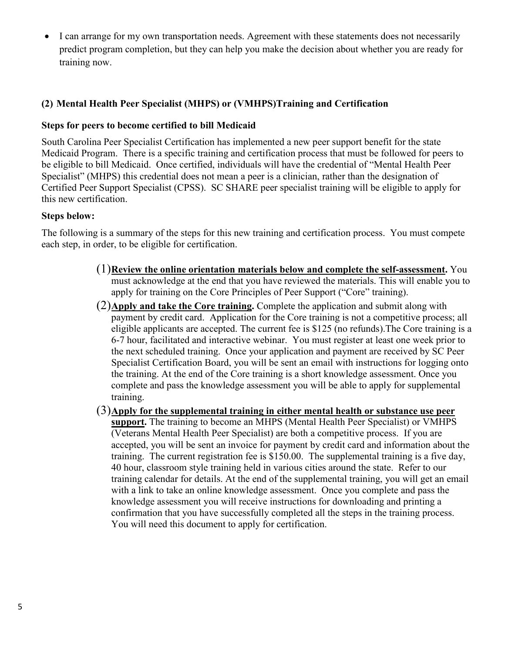• I can arrange for my own transportation needs. Agreement with these statements does not necessarily predict program completion, but they can help you make the decision about whether you are ready for training now.

### **(2) Mental Health Peer Specialist (MHPS) or (VMHPS)Training and Certification**

### **Steps for peers to become certified to bill Medicaid**

South Carolina Peer Specialist Certification has implemented a new peer support benefit for the state Medicaid Program. There is a specific training and certification process that must be followed for peers to be eligible to bill Medicaid. Once certified, individuals will have the credential of "Mental Health Peer Specialist" (MHPS) this credential does not mean a peer is a clinician, rather than the designation of Certified Peer Support Specialist (CPSS). SC SHARE peer specialist training will be eligible to apply for this new certification.

#### **Steps below:**

The following is a summary of the steps for this new training and certification process. You must compete each step, in order, to be eligible for certification.

- (1)**Review the online orientation materials below and complete the self-assessment.** You must acknowledge at the end that you have reviewed the materials. This will enable you to apply for training on the Core Principles of Peer Support ("Core" training).
- (2)**Apply and take the Core training.** Complete the application and submit along with payment by credit card. Application for the Core training is not a competitive process; all eligible applicants are accepted. The current fee is \$125 (no refunds).The Core training is a 6-7 hour, facilitated and interactive webinar. You must register at least one week prior to the next scheduled training. Once your application and payment are received by SC Peer Specialist Certification Board, you will be sent an email with instructions for logging onto the training. At the end of the Core training is a short knowledge assessment. Once you complete and pass the knowledge assessment you will be able to apply for supplemental training.
- (3)**Apply for the supplemental training in either mental health or substance use peer support.** The training to become an MHPS (Mental Health Peer Specialist) or VMHPS (Veterans Mental Health Peer Specialist) are both a competitive process. If you are accepted, you will be sent an invoice for payment by credit card and information about the training. The current registration fee is \$150.00. The supplemental training is a five day, 40 hour, classroom style training held in various cities around the state. Refer to our training calendar for details. At the end of the supplemental training, you will get an email with a link to take an online knowledge assessment. Once you complete and pass the knowledge assessment you will receive instructions for downloading and printing a confirmation that you have successfully completed all the steps in the training process. You will need this document to apply for certification.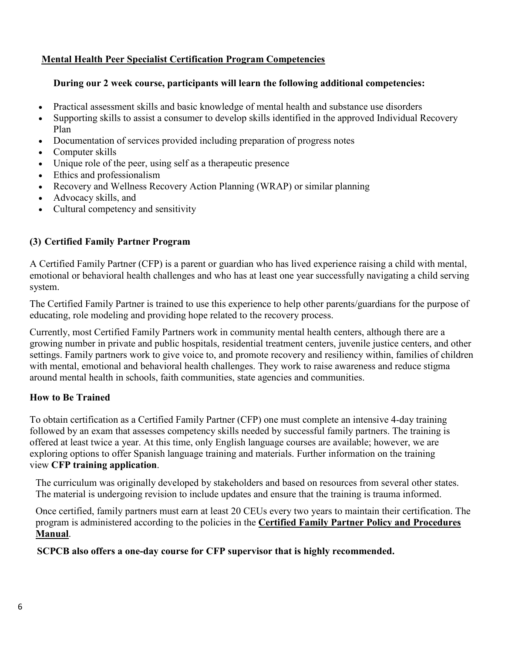# **Mental Health Peer Specialist Certification Program Competencies**

### **During our 2 week course, participants will learn the following additional competencies:**

- Practical assessment skills and basic knowledge of mental health and substance use disorders
- Supporting skills to assist a consumer to develop skills identified in the approved Individual Recovery Plan
- Documentation of services provided including preparation of progress notes
- Computer skills
- Unique role of the peer, using self as a therapeutic presence
- Ethics and professionalism
- Recovery and Wellness Recovery Action Planning (WRAP) or similar planning
- Advocacy skills, and
- Cultural competency and sensitivity

# **(3) Certified Family Partner Program**

A Certified Family Partner (CFP) is a parent or guardian who has lived experience raising a child with mental, emotional or behavioral health challenges and who has at least one year successfully navigating a child serving system.

The Certified Family Partner is trained to use this experience to help other parents/guardians for the purpose of educating, role modeling and providing hope related to the recovery process.

Currently, most Certified Family Partners work in community mental health centers, although there are a growing number in private and public hospitals, residential treatment centers, juvenile justice centers, and other settings. Family partners work to give voice to, and promote recovery and resiliency within, families of children with mental, emotional and behavioral health challenges. They work to raise awareness and reduce stigma around mental health in schools, faith communities, state agencies and communities.

# **How to Be Trained**

To obtain certification as a Certified Family Partner (CFP) one must complete an intensive 4-day training followed by an exam that assesses competency skills needed by successful family partners. The training is offered at least twice a year. At this time, only English language courses are available; however, we are exploring options to offer Spanish language training and materials. Further information on the training view **[CFP training application](https://www.viahope.org/resources/cfp-training-application/)**.

The curriculum was originally developed by stakeholders and based on resources from several other states. The material is undergoing revision to include updates and ensure that the training is trauma informed.

Once certified, family partners must earn at least 20 CEUs every two years to maintain their certification. The program is administered according to the policies in the **[Certified Family Partner Policy and Procedures](https://www.viahope.org/wp-content/uploads/2018/01/CFP_policy_and_procedure.pdf)  [Manual](https://www.viahope.org/wp-content/uploads/2018/01/CFP_policy_and_procedure.pdf)**.

 **SCPCB also offers a one-day course for CFP supervisor that is highly recommended.**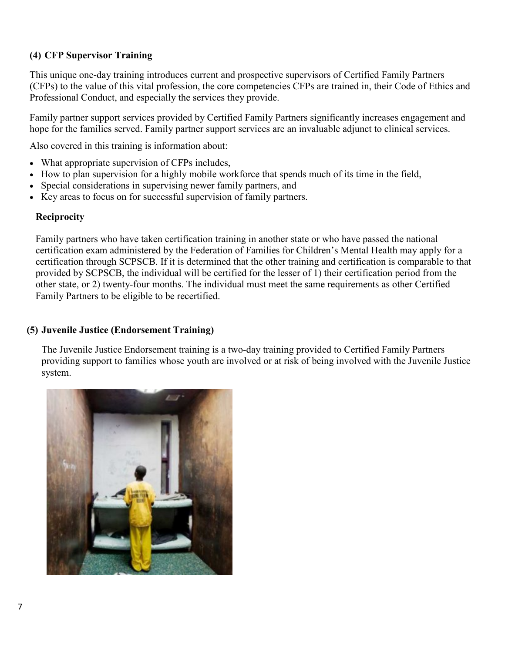# **(4) CFP Supervisor Training**

This unique one-day training introduces current and prospective supervisors of Certified Family Partners (CFPs) to the value of this vital profession, the core competencies CFPs are trained in, their Code of Ethics and Professional Conduct, and especially the services they provide.

Family partner support services provided by Certified Family Partners significantly increases engagement and hope for the families served. Family partner support services are an invaluable adjunct to clinical services.

Also covered in this training is information about:

- What appropriate supervision of CFPs includes,
- How to plan supervision for a highly mobile workforce that spends much of its time in the field,
- Special considerations in supervising newer family partners, and
- Key areas to focus on for successful supervision of family partners.

#### **Reciprocity**

Family partners who have taken certification training in another state or who have passed the national certification exam administered by the Federation of Families for Children's Mental Health may apply for a certification through SCPSCB. If it is determined that the other training and certification is comparable to that provided by SCPSCB, the individual will be certified for the lesser of 1) their certification period from the other state, or 2) twenty-four months. The individual must meet the same requirements as other Certified Family Partners to be eligible to be recertified.

### **(5) Juvenile Justice (Endorsement Training)**

The Juvenile Justice Endorsement training is a two-day training provided to Certified Family Partners providing support to families whose youth are involved or at risk of being involved with the Juvenile Justice system.

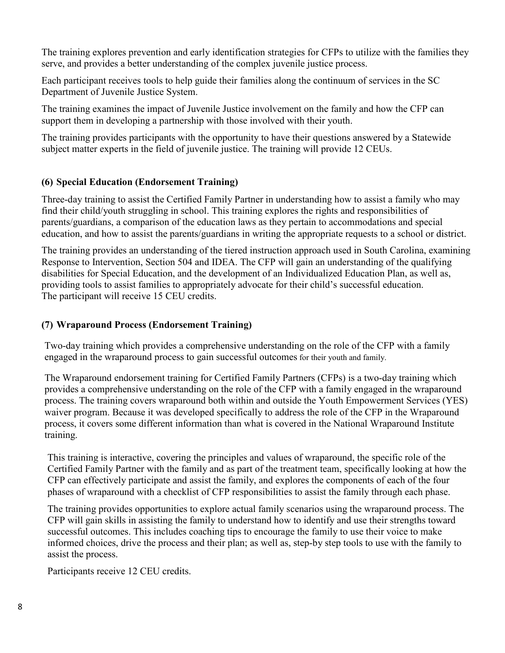The training explores prevention and early identification strategies for CFPs to utilize with the families they serve, and provides a better understanding of the complex juvenile justice process.

Each participant receives tools to help guide their families along the continuum of services in the SC Department of Juvenile Justice System.

The training examines the impact of Juvenile Justice involvement on the family and how the CFP can support them in developing a partnership with those involved with their youth.

The training provides participants with the opportunity to have their questions answered by a Statewide subject matter experts in the field of juvenile justice. The training will provide 12 CEUs.

### **(6) Special Education (Endorsement Training)**

Three-day training to assist the Certified Family Partner in understanding how to assist a family who may find their child/youth struggling in school. This training explores the rights and responsibilities of parents/guardians, a comparison of the education laws as they pertain to accommodations and special education, and how to assist the parents/guardians in writing the appropriate requests to a school or district.

The training provides an understanding of the tiered instruction approach used in South Carolina, examining Response to Intervention, Section 504 and IDEA. The CFP will gain an understanding of the qualifying disabilities for Special Education, and the development of an Individualized Education Plan, as well as, providing tools to assist families to appropriately advocate for their child's successful education. The participant will receive 15 CEU credits.

### **(7) Wraparound Process (Endorsement Training)**

Two-day training which provides a comprehensive understanding on the role of the CFP with a family engaged in the wraparound process to gain successful outcomes for their youth and family.

The Wraparound endorsement training for Certified Family Partners (CFPs) is a two-day training which provides a comprehensive understanding on the role of the CFP with a family engaged in the wraparound process. The training covers wraparound both within and outside the Youth Empowerment Services (YES) waiver program. Because it was developed specifically to address the role of the CFP in the Wraparound process, it covers some different information than what is covered in the National Wraparound Institute training.

This training is interactive, covering the principles and values of wraparound, the specific role of the Certified Family Partner with the family and as part of the treatment team, specifically looking at how the CFP can effectively participate and assist the family, and explores the components of each of the four phases of wraparound with a checklist of CFP responsibilities to assist the family through each phase.

The training provides opportunities to explore actual family scenarios using the wraparound process. The CFP will gain skills in assisting the family to understand how to identify and use their strengths toward successful outcomes. This includes coaching tips to encourage the family to use their voice to make informed choices, drive the process and their plan; as well as, step-by step tools to use with the family to assist the process.

Participants receive 12 CEU credits.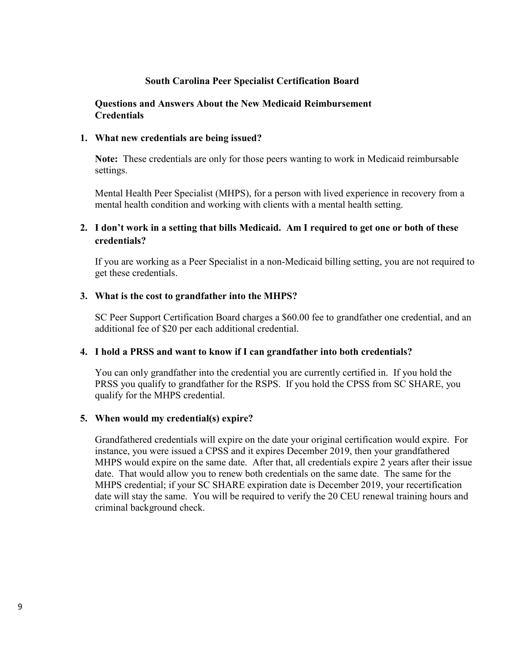#### **South Carolina Peer Specialist Certification Board**

#### **Questions and Answers About the New Medicaid Reimbursement Credentials**

#### **1. What new credentials are being issued?**

**Note:** These credentials are only for those peers wanting to work in Medicaid reimbursable settings.

Mental Health Peer Specialist (MHPS), for a person with lived experience in recovery from a mental health condition and working with clients with a mental health setting.

### **2. I don't work in a setting that bills Medicaid. Am I required to get one or both of these credentials?**

If you are working as a Peer Specialist in a non-Medicaid billing setting, you are not required to get these credentials.

#### **3. What is the cost to grandfather into the MHPS?**

SC Peer Support Certification Board charges a \$60.00 fee to grandfather one credential, and an additional fee of \$20 per each additional credential.

#### **4. I hold a PRSS and want to know if I can grandfather into both credentials?**

You can only grandfather into the credential you are currently certified in. If you hold the PRSS you qualify to grandfather for the RSPS. If you hold the CPSS from SC SHARE, you qualify for the MHPS credential.

#### **5. When would my credential(s) expire?**

Grandfathered credentials will expire on the date your original certification would expire. For instance, you were issued a CPSS and it expires December 2019, then your grandfathered MHPS would expire on the same date. After that, all credentials expire 2 years after their issue date. That would allow you to renew both credentials on the same date. The same for the MHPS credential; if your SC SHARE expiration date is December 2019, your recertification date will stay the same. You will be required to verify the 20 CEU renewal training hours and criminal background check.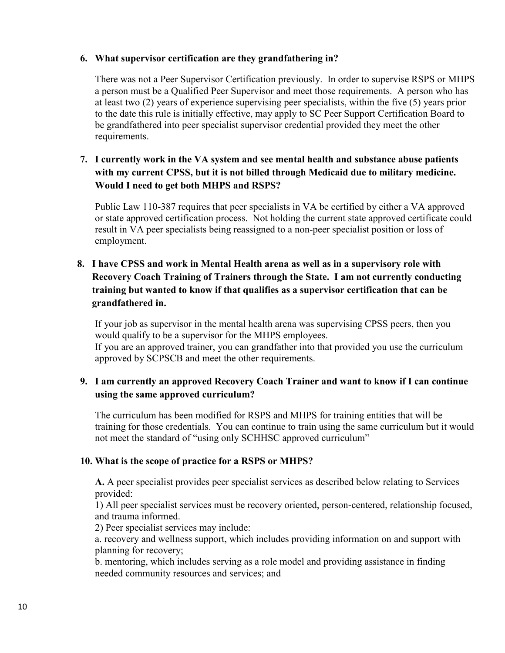### **6. What supervisor certification are they grandfathering in?**

There was not a Peer Supervisor Certification previously. In order to supervise RSPS or MHPS a person must be a Qualified Peer Supervisor and meet those requirements. A person who has at least two (2) years of experience supervising peer specialists, within the five (5) years prior to the date this rule is initially effective, may apply to SC Peer Support Certification Board to be grandfathered into peer specialist supervisor credential provided they meet the other requirements.

# **7. I currently work in the VA system and see mental health and substance abuse patients with my current CPSS, but it is not billed through Medicaid due to military medicine. Would I need to get both MHPS and RSPS?**

Public Law 110-387 requires that peer specialists in VA be certified by either a VA approved or state approved certification process. Not holding the current state approved certificate could result in VA peer specialists being reassigned to a non-peer specialist position or loss of employment.

# **8. I have CPSS and work in Mental Health arena as well as in a supervisory role with Recovery Coach Training of Trainers through the State. I am not currently conducting training but wanted to know if that qualifies as a supervisor certification that can be grandfathered in.**

If your job as supervisor in the mental health arena was supervising CPSS peers, then you would qualify to be a supervisor for the MHPS employees. If you are an approved trainer, you can grandfather into that provided you use the curriculum approved by SCPSCB and meet the other requirements.

### **9. I am currently an approved Recovery Coach Trainer and want to know if I can continue using the same approved curriculum?**

The curriculum has been modified for RSPS and MHPS for training entities that will be training for those credentials. You can continue to train using the same curriculum but it would not meet the standard of "using only SCHHSC approved curriculum"

### **10. What is the scope of practice for a RSPS or MHPS?**

**A.** A peer specialist provides peer specialist services as described below relating to Services provided:

1) All peer specialist services must be recovery oriented, person-centered, relationship focused, and trauma informed.

2) Peer specialist services may include:

a. recovery and wellness support, which includes providing information on and support with planning for recovery;

b. mentoring, which includes serving as a role model and providing assistance in finding needed community resources and services; and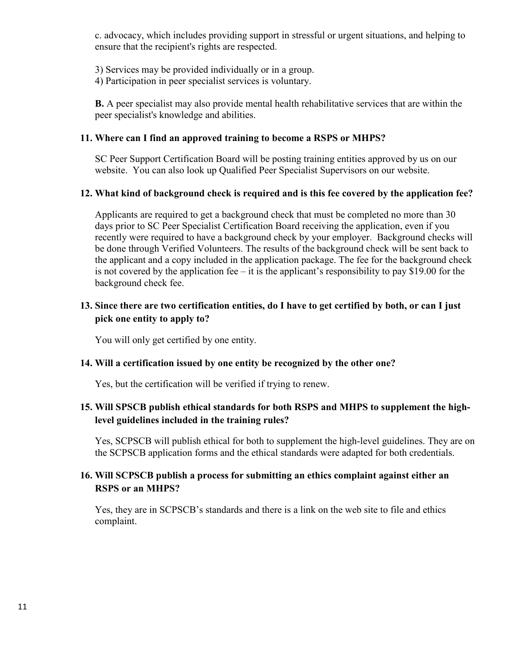c. advocacy, which includes providing support in stressful or urgent situations, and helping to ensure that the recipient's rights are respected.

- 3) Services may be provided individually or in a group.
- 4) Participation in peer specialist services is voluntary.

**B.** A peer specialist may also provide mental health rehabilitative services that are within the peer specialist's knowledge and abilities.

### **11. Where can I find an approved training to become a RSPS or MHPS?**

SC Peer Support Certification Board will be posting training entities approved by us on our website. You can also look up Qualified Peer Specialist Supervisors on our website.

### **12. What kind of background check is required and is this fee covered by the application fee?**

Applicants are required to get a background check that must be completed no more than 30 days prior to SC Peer Specialist Certification Board receiving the application, even if you recently were required to have a background check by your employer. Background checks will be done through Verified Volunteers. The results of the background check will be sent back to the applicant and a copy included in the application package. The fee for the background check is not covered by the application fee – it is the applicant's responsibility to pay \$19.00 for the background check fee.

# **13. Since there are two certification entities, do I have to get certified by both, or can I just pick one entity to apply to?**

You will only get certified by one entity.

### **14. Will a certification issued by one entity be recognized by the other one?**

Yes, but the certification will be verified if trying to renew.

# **15. Will SPSCB publish ethical standards for both RSPS and MHPS to supplement the highlevel guidelines included in the training rules?**

Yes, SCPSCB will publish ethical for both to supplement the high-level guidelines. They are on the SCPSCB application forms and the ethical standards were adapted for both credentials.

### **16. Will SCPSCB publish a process for submitting an ethics complaint against either an RSPS or an MHPS?**

Yes, they are in SCPSCB's standards and there is a link on the web site to file and ethics complaint.